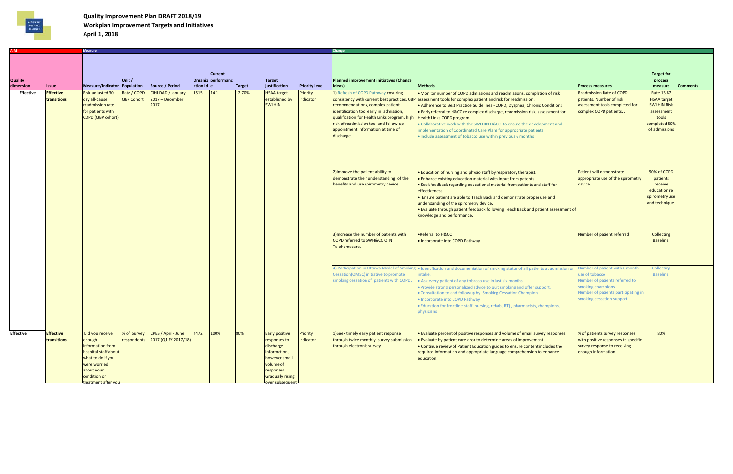

## **Quality Improvement Plan DRAFT 2018/19 Workplan Improvement Targets and Initiatives April 1, 2018**

|                  |                  | <b>Measure</b>               |             |                                  |            |                                      |               |                         |                       | Change                                                                        |                                                                                                                                                                 |                                              |                         |                 |
|------------------|------------------|------------------------------|-------------|----------------------------------|------------|--------------------------------------|---------------|-------------------------|-----------------------|-------------------------------------------------------------------------------|-----------------------------------------------------------------------------------------------------------------------------------------------------------------|----------------------------------------------|-------------------------|-----------------|
|                  |                  |                              |             |                                  |            |                                      |               |                         |                       |                                                                               |                                                                                                                                                                 |                                              |                         |                 |
|                  |                  |                              |             |                                  |            |                                      |               |                         |                       |                                                                               |                                                                                                                                                                 |                                              |                         |                 |
|                  |                  |                              |             |                                  |            |                                      |               |                         |                       |                                                                               |                                                                                                                                                                 |                                              |                         |                 |
| <b>Quality</b>   |                  |                              | Unit /      |                                  |            | <b>Current</b><br>Organiz performanc |               | <b>Target</b>           |                       | <b>Planned improvement initiatives (Change</b>                                |                                                                                                                                                                 |                                              | <b>Target for</b>       |                 |
| dimension        | <b>Issue</b>     | Measure/Indicator Population |             | Source / Period                  | ation Id e |                                      | <b>Target</b> | justification           | <b>Priority level</b> | Ideas)                                                                        | <b>Methods</b>                                                                                                                                                  | <b>Process measures</b>                      | process<br>measure      | <b>Comments</b> |
| Effective        | <b>Effective</b> | Risk-adjusted 30-            | Rate / COPD | <b>CIHI DAD / January</b>        | 1515       | 14.1                                 | 12.70%        | <b>HSAA</b> target      | Priority              | 1) Refresh of COPD Pathway ensuring                                           | • Monitor number of COPD admissions and readmissions, completion of risk                                                                                        | <b>Readmission Rate of COPD</b>              | Rate 13.87              |                 |
|                  | transitions      | day all-cause                | QBP Cohort  | $2017 - December$                |            |                                      |               | established by          | Indicator             |                                                                               | consistency with current best practices, QBP assessment tools for complex patient and risk for readmission.                                                     | patients. Number of risk                     | <b>HSAA target</b>      |                 |
|                  |                  | readmission rate             |             | 2017                             |            |                                      |               | <b>SWLHIN</b>           |                       | recommendations, complex patient                                              | • Adherence to Best Practice Guidelines - COPD, Dyspnea, Chronic Conditions                                                                                     | assessment tools completed for               | <b>SWLHIN Risk</b>      |                 |
|                  |                  | for patients with            |             |                                  |            |                                      |               |                         |                       | identification tool early in admission,                                       | • Early referral to H&CC re complex discharge, readmission risk, assessment for                                                                                 | complex COPD patients                        | assessment              |                 |
|                  |                  | <b>COPD (QBP cohort)</b>     |             |                                  |            |                                      |               |                         |                       | qualification for Health Links program, high                                  | <b>Health Links COPD program</b>                                                                                                                                |                                              | tools                   |                 |
|                  |                  |                              |             |                                  |            |                                      |               |                         |                       | risk of readmission tool and follow-up                                        | Collaborative work with the SWLHIN H&CC to ensure the development and                                                                                           |                                              | completed 80%           |                 |
|                  |                  |                              |             |                                  |            |                                      |               |                         |                       | appointment information at time of                                            | implementation of Coordinated Care Plans for appropriate patients                                                                                               |                                              | of admissions           |                 |
|                  |                  |                              |             |                                  |            |                                      |               |                         |                       | discharge.                                                                    | . Include assessment of tobacco use within previous 6 months                                                                                                    |                                              |                         |                 |
|                  |                  |                              |             |                                  |            |                                      |               |                         |                       |                                                                               |                                                                                                                                                                 |                                              |                         |                 |
|                  |                  |                              |             |                                  |            |                                      |               |                         |                       |                                                                               |                                                                                                                                                                 |                                              |                         |                 |
|                  |                  |                              |             |                                  |            |                                      |               |                         |                       |                                                                               |                                                                                                                                                                 |                                              |                         |                 |
|                  |                  |                              |             |                                  |            |                                      |               |                         |                       |                                                                               |                                                                                                                                                                 |                                              |                         |                 |
|                  |                  |                              |             |                                  |            |                                      |               |                         |                       |                                                                               |                                                                                                                                                                 |                                              |                         |                 |
|                  |                  |                              |             |                                  |            |                                      |               |                         |                       | 2) Improve the patient ability to                                             | . Education of nursing and physio staff by respiratory therapist.                                                                                               | Patient will demonstrate                     | 90% of COPD             |                 |
|                  |                  |                              |             |                                  |            |                                      |               |                         |                       | demonstrate their understanding of the<br>benefits and use spirometry device. | . Enhance existing education material with input from patents.                                                                                                  | appropriate use of the spirometry<br>device. | patients                |                 |
|                  |                  |                              |             |                                  |            |                                      |               |                         |                       |                                                                               | • Seek feedback regarding educational material from patients and staff for<br>effectiveness.                                                                    |                                              | receive<br>education re |                 |
|                  |                  |                              |             |                                  |            |                                      |               |                         |                       |                                                                               | . Ensure patient are able to Teach Back and demonstrate proper use and                                                                                          |                                              | spirometry use          |                 |
|                  |                  |                              |             |                                  |            |                                      |               |                         |                       |                                                                               | understanding of the spirometry device.                                                                                                                         |                                              | and technique.          |                 |
|                  |                  |                              |             |                                  |            |                                      |               |                         |                       |                                                                               | . Evaluate through patient feedback following Teach Back and patient assessment of                                                                              |                                              |                         |                 |
|                  |                  |                              |             |                                  |            |                                      |               |                         |                       |                                                                               | knowledge and performance.                                                                                                                                      |                                              |                         |                 |
|                  |                  |                              |             |                                  |            |                                      |               |                         |                       |                                                                               |                                                                                                                                                                 |                                              |                         |                 |
|                  |                  |                              |             |                                  |            |                                      |               |                         |                       |                                                                               |                                                                                                                                                                 |                                              |                         |                 |
|                  |                  |                              |             |                                  |            |                                      |               |                         |                       | 3) Increase the number of patients with                                       | <b>•Referral to H&amp;CC</b>                                                                                                                                    | Number of patient referred                   | Collecting              |                 |
|                  |                  |                              |             |                                  |            |                                      |               |                         |                       | COPD referred to SWH&CC OTN                                                   | . Incorporate into COPD Pathway                                                                                                                                 |                                              | Baseline.               |                 |
|                  |                  |                              |             |                                  |            |                                      |               |                         |                       | Telehomecare.                                                                 |                                                                                                                                                                 |                                              |                         |                 |
|                  |                  |                              |             |                                  |            |                                      |               |                         |                       |                                                                               |                                                                                                                                                                 |                                              |                         |                 |
|                  |                  |                              |             |                                  |            |                                      |               |                         |                       |                                                                               |                                                                                                                                                                 |                                              |                         |                 |
|                  |                  |                              |             |                                  |            |                                      |               |                         |                       |                                                                               | 4) Participation in Ottawa Model of Smoking • Identification and documentation of smoking status of all patients at admission or Number of patient with 6 month |                                              | Collecting              |                 |
|                  |                  |                              |             |                                  |            |                                      |               |                         |                       | Cessation(OMSC) initiative to promote                                         | ntake.                                                                                                                                                          | use of tobacco                               | Baseline.               |                 |
|                  |                  |                              |             |                                  |            |                                      |               |                         |                       | smoking cessation of patients with COPD.                                      | • Ask every patient of any tobacco use in last six months                                                                                                       | Number of patients referred to               |                         |                 |
|                  |                  |                              |             |                                  |            |                                      |               |                         |                       |                                                                               | • Provide strong personalized advice to quit smoking and offer support.                                                                                         | smoking champions                            |                         |                 |
|                  |                  |                              |             |                                  |            |                                      |               |                         |                       |                                                                               | • Consultation to and followup by Smoking Cessation Champion                                                                                                    | Number of patients participating in          |                         |                 |
|                  |                  |                              |             |                                  |            |                                      |               |                         |                       |                                                                               | . Incorporate into COPD Pathway                                                                                                                                 | smoking cessation support                    |                         |                 |
|                  |                  |                              |             |                                  |            |                                      |               |                         |                       |                                                                               | . Education for frontline staff (nursing, rehab, RT), pharmacists, champions,                                                                                   |                                              |                         |                 |
|                  |                  |                              |             |                                  |            |                                      |               |                         |                       |                                                                               | physicians                                                                                                                                                      |                                              |                         |                 |
|                  |                  |                              |             |                                  |            |                                      |               |                         |                       |                                                                               |                                                                                                                                                                 |                                              |                         |                 |
|                  |                  |                              |             |                                  |            |                                      |               |                         |                       |                                                                               |                                                                                                                                                                 |                                              |                         |                 |
| <b>Effective</b> | <b>Effective</b> | Did you receive              | % of Survey | CPES / April - June              | 4472       | 100%                                 | 80%           | <b>Early positive</b>   | Priority              | 1) Seek timely early patient response                                         | • Evaluate percent of positive responses and volume of email survey responses.                                                                                  | % of patients survey responses               | 80%                     |                 |
|                  | transitions      | enough                       |             | respondents 2017 (Q1 FY 2017/18) |            |                                      |               | responses to            | Indicator             | through twice monthly survey submission                                       | . Evaluate by patient care area to determine areas of improvement.                                                                                              | with positive responses to specific          |                         |                 |
|                  |                  | information from             |             |                                  |            |                                      |               | discharge               |                       | through electronic survey                                                     | • Continue review of Patient Education guides to ensure content includes the                                                                                    | survey response to receiving                 |                         |                 |
|                  |                  | hospital staff about         |             |                                  |            |                                      |               | information,            |                       |                                                                               | required information and appropriate language comprehension to enhance                                                                                          | enough information.                          |                         |                 |
|                  |                  | what to do if you            |             |                                  |            |                                      |               | however small           |                       |                                                                               | education.                                                                                                                                                      |                                              |                         |                 |
|                  |                  | were worried                 |             |                                  |            |                                      |               | volume of               |                       |                                                                               |                                                                                                                                                                 |                                              |                         |                 |
|                  |                  | about your                   |             |                                  |            |                                      |               | responses.              |                       |                                                                               |                                                                                                                                                                 |                                              |                         |                 |
|                  |                  | condition or                 |             |                                  |            |                                      |               | <b>Gradually rising</b> |                       |                                                                               |                                                                                                                                                                 |                                              |                         |                 |
|                  |                  | <b>treatment after vou</b>   |             |                                  |            |                                      |               | over subsequent         |                       |                                                                               |                                                                                                                                                                 |                                              |                         |                 |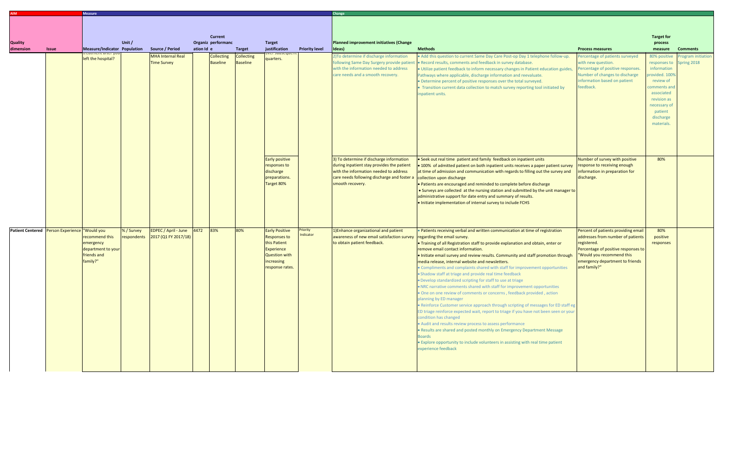|                                              |              | <b>Measure</b>                                                               |            |                                                          |            |                               |                                      |                                                                                                                                     |                       | Change                                                                                                                                                                                              |                                                                                                                                                                                                                                                                                                                                                                                                                                                                                                                                                                                                                                                                                                                                                                                                                                                                                                                                                                                                                                                                                                                                                                                                                                                     |                                                                                                                                                                                                                |                                                                                                                                                                               |                                |  |
|----------------------------------------------|--------------|------------------------------------------------------------------------------|------------|----------------------------------------------------------|------------|-------------------------------|--------------------------------------|-------------------------------------------------------------------------------------------------------------------------------------|-----------------------|-----------------------------------------------------------------------------------------------------------------------------------------------------------------------------------------------------|-----------------------------------------------------------------------------------------------------------------------------------------------------------------------------------------------------------------------------------------------------------------------------------------------------------------------------------------------------------------------------------------------------------------------------------------------------------------------------------------------------------------------------------------------------------------------------------------------------------------------------------------------------------------------------------------------------------------------------------------------------------------------------------------------------------------------------------------------------------------------------------------------------------------------------------------------------------------------------------------------------------------------------------------------------------------------------------------------------------------------------------------------------------------------------------------------------------------------------------------------------|----------------------------------------------------------------------------------------------------------------------------------------------------------------------------------------------------------------|-------------------------------------------------------------------------------------------------------------------------------------------------------------------------------|--------------------------------|--|
|                                              |              |                                                                              |            |                                                          |            | <b>Current</b>                |                                      |                                                                                                                                     |                       |                                                                                                                                                                                                     |                                                                                                                                                                                                                                                                                                                                                                                                                                                                                                                                                                                                                                                                                                                                                                                                                                                                                                                                                                                                                                                                                                                                                                                                                                                     |                                                                                                                                                                                                                | <b>Target for</b>                                                                                                                                                             |                                |  |
| <b>Quality</b>                               |              |                                                                              | Unit/      |                                                          |            | Organiz performanc            |                                      | <b>Target</b>                                                                                                                       |                       | Planned improvement initiatives (Change                                                                                                                                                             |                                                                                                                                                                                                                                                                                                                                                                                                                                                                                                                                                                                                                                                                                                                                                                                                                                                                                                                                                                                                                                                                                                                                                                                                                                                     |                                                                                                                                                                                                                | process                                                                                                                                                                       |                                |  |
| dimension                                    | <b>Issue</b> | Measure/Indicator Population                                                 |            | Source / Period                                          | ation Id e |                               | <b>Target</b>                        | justification                                                                                                                       | <b>Priority level</b> | Ideas)                                                                                                                                                                                              | <b>Methods</b>                                                                                                                                                                                                                                                                                                                                                                                                                                                                                                                                                                                                                                                                                                                                                                                                                                                                                                                                                                                                                                                                                                                                                                                                                                      | <b>Process measures</b>                                                                                                                                                                                        | measure                                                                                                                                                                       | <b>Comments</b>                |  |
|                                              |              | left the hospital?                                                           |            | <b>MHA Internal Real</b><br><b>Time Survey</b>           |            | Collecting<br><b>Baseline</b> | <b>Collecting</b><br><b>Baseline</b> | quarters.                                                                                                                           |                       | 2) To determine if discharge information<br>following Same Day Surgery provide patient<br>with the information needed to address<br>care needs and a smooth recovery.                               | . Add this question to current Same Day Care Post-op Day 1 telephone follow-up.<br>. Record results, comments and feedback in survey database.<br>. Utilize patient feedback to inform necessary changes in Patient education guides,<br>Pathways where applicable, discharge information and reevaluate.<br>• Determine percent of positive responses over the total surveyed.<br>• Transition current data collection to match survey reporting tool initiated by<br>inpatient units.                                                                                                                                                                                                                                                                                                                                                                                                                                                                                                                                                                                                                                                                                                                                                             | Percentage of patients surveyed<br>with new question.<br>Percentage of positive responses.<br>Number of changes to discharge<br>information based on patient<br>feedback.                                      | 80% positive<br>responses to<br>information<br>provided. 100%<br>review of<br>comments and<br>associated<br>revision as<br>necessary of<br>patient<br>discharge<br>materials. | ogram initiation<br>pring 2018 |  |
|                                              |              |                                                                              |            |                                                          |            |                               |                                      | Early positive<br>responses to<br>discharge<br>preparations.<br>Target 80%                                                          |                       | 3) To determine if discharge information<br>during inpatient stay provides the patient<br>with the information needed to address<br>care needs following discharge and foster a<br>smooth recovery. | · Seek out real time patient and family feedback on inpatient units<br>. 100% of admitted patient on both inpatient units receives a paper patient survey<br>at time of admission and communication with regards to filling out the survey and<br>collection upon discharge<br>• Patients are encouraged and reminded to complete before discharge<br>• Surveys are collected at the nursing station and submitted by the unit manager to<br>administrative support for date entry and summary of results.<br>. Initiate implementation of internal survey to include FCHS                                                                                                                                                                                                                                                                                                                                                                                                                                                                                                                                                                                                                                                                          | Number of survey with positive<br>response to receiving enough<br>information in preparation for<br>discharge.                                                                                                 | 80%                                                                                                                                                                           |                                |  |
| Patient Centered Person Experience Would you |              | recommend this<br>emergency<br>department to your<br>friends and<br>family?" | % / Survey | EDPEC / April - June<br>respondents 2017 (Q1 FY 2017/18) | 4472       | 83%                           | 80%                                  | <b>Early Positive</b><br><b>Responses to</b><br>this Patient<br>Experience<br><b>Question with</b><br>increasing<br>response rates. | Priority<br>Indicator | 1) Enhance organizational and patient<br>awareness of new email satisfaction survey<br>to obtain patient feedback.                                                                                  | . Patients receiving verbal and written communication at time of registration<br>regarding the email survey.<br>. Training of all Registration staff to provide explanation and obtain, enter or<br>remove email contact information.<br>. Initiate email survey and review results. Community and staff promotion through<br>media release, internal website and newsletters.<br>• Compliments and complaints shared with staff for improvement opportunities<br>• Shadow staff at triage and provide real time feedback<br>. Develop standardized scripting for staff to use at triage<br>. NRC narrative comments shared with staff for improvement opportunities<br>. One on one review of comments or concerns, feedback provided, action<br>planning by ED manager<br>. Reinforce Customer service approach through scripting of messages for ED staff eg<br>ED triage reinforce expected wait, report to triage if you have not been seen or your<br>condition has changed<br>• Audit and results review process to assess performance<br>. Results are shared and posted monthly on Emergency Department Message<br><b>Boards</b><br>• Explore opportunity to include volunteers in assisting with real time patient<br>experience feedback | Percent of patients providing email<br>addresses from number of patients<br>registered.<br>Percentage of positive responses to<br>"Would you recommend this<br>emergency department to friends<br>and family?" | 80%<br>positive<br>responses                                                                                                                                                  |                                |  |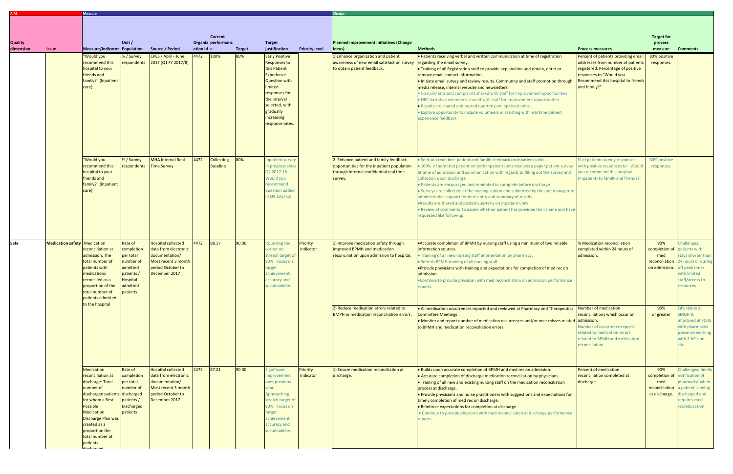|                |                                     | <b>Measure</b>                                                                                                                                                                                                                                                  |                                                                                                               |                                                                                                                                  |                    |                               |                      |                                                                                                                                                                                              |                       |                                                                                                                                            |                                                                                                                                                                                                                                                                                                                                                                                                                                                                                                                                                                                                                                                                                          |                                                                                                                                                                             |                                                                  |                                                                                                                                               |
|----------------|-------------------------------------|-----------------------------------------------------------------------------------------------------------------------------------------------------------------------------------------------------------------------------------------------------------------|---------------------------------------------------------------------------------------------------------------|----------------------------------------------------------------------------------------------------------------------------------|--------------------|-------------------------------|----------------------|----------------------------------------------------------------------------------------------------------------------------------------------------------------------------------------------|-----------------------|--------------------------------------------------------------------------------------------------------------------------------------------|------------------------------------------------------------------------------------------------------------------------------------------------------------------------------------------------------------------------------------------------------------------------------------------------------------------------------------------------------------------------------------------------------------------------------------------------------------------------------------------------------------------------------------------------------------------------------------------------------------------------------------------------------------------------------------------|-----------------------------------------------------------------------------------------------------------------------------------------------------------------------------|------------------------------------------------------------------|-----------------------------------------------------------------------------------------------------------------------------------------------|
|                |                                     |                                                                                                                                                                                                                                                                 |                                                                                                               |                                                                                                                                  |                    |                               |                      |                                                                                                                                                                                              |                       |                                                                                                                                            |                                                                                                                                                                                                                                                                                                                                                                                                                                                                                                                                                                                                                                                                                          |                                                                                                                                                                             |                                                                  |                                                                                                                                               |
|                |                                     |                                                                                                                                                                                                                                                                 |                                                                                                               |                                                                                                                                  |                    | <b>Current</b>                |                      |                                                                                                                                                                                              |                       |                                                                                                                                            |                                                                                                                                                                                                                                                                                                                                                                                                                                                                                                                                                                                                                                                                                          |                                                                                                                                                                             | <b>Target for</b>                                                |                                                                                                                                               |
| <b>Quality</b> |                                     |                                                                                                                                                                                                                                                                 | Unit/                                                                                                         |                                                                                                                                  |                    | Organiz performanc            |                      | <b>Target</b>                                                                                                                                                                                |                       | Planned improvement initiatives (Change                                                                                                    |                                                                                                                                                                                                                                                                                                                                                                                                                                                                                                                                                                                                                                                                                          |                                                                                                                                                                             | process                                                          |                                                                                                                                               |
| dimension      | <b>Issue</b>                        | Measure/Indicator Population<br>"Would you                                                                                                                                                                                                                      | % / Survey                                                                                                    | Source / Period<br>CPES / April - June                                                                                           | ation Id e<br>4472 | 100%                          | <b>Target</b><br>80% | justification<br><b>Early Positive</b>                                                                                                                                                       | <b>Priority level</b> | Ideas)<br>1) Enhance organization and patient                                                                                              | <b>Methods</b><br>• Patients receiving verbal and written communication at time of registration                                                                                                                                                                                                                                                                                                                                                                                                                                                                                                                                                                                          | <b>Process measures</b><br>Percent of patients providing email                                                                                                              | measure<br>80% positive                                          | <b>Comments</b>                                                                                                                               |
|                |                                     | recommend this<br>hospital to your<br>friends and<br>family?" (Inpatient<br>care)                                                                                                                                                                               | respondents                                                                                                   | 2017 (Q1 FY 2017/8)                                                                                                              |                    |                               |                      | <b>Responses to</b><br>this Patient<br><b>Experience</b><br><b>Question with</b><br>limited<br>responses for<br>the interval<br>selected, with<br>gradually<br>increasing<br>response rates. |                       | awareness of new email satisfaction survey<br>to obtain patient feedback.                                                                  | regarding the email survey.<br>. Training of all Registration staff to provide explanation and obtain, enter or<br>remove email contact information.<br>• Initiate email survey and review results. Community and staff promotion through<br>media release, internal website and newsletters.<br>• Compliments and complaints shared with staff for improvement opportunities<br>. NRC narrative comments shared with staff for improvement opportunities<br>. Results are shared and posted quarterly on inpatient units.<br>• Explore opportunity to include volunteers in assisting with real time patient<br>experience feedback                                                     | addresses from number of patients<br>registered. Percentage of positive<br>responses to "Would you<br>Recommend this hospital to friends<br>and family?"                    | responses.                                                       |                                                                                                                                               |
|                |                                     | 'Would you<br>recommend this<br>hospital to your<br>friends and<br>family?" (Inpatient<br>care)                                                                                                                                                                 | % / Survey<br>respondents                                                                                     | <b>MHA Internal Real</b><br><b>Time Survey</b>                                                                                   | 4472               | Collecting<br><b>Baseline</b> | 80%                  | npatient survey<br>n progress since<br>Q2 2017-18.<br>Would you<br>ecommend<br>question added<br>n Q4 2017-18                                                                                |                       | 2. Enhance patient and family feedback<br>opportunities for the inpatient population<br>through internal confidential real time<br>survey. | · Seek out real time patient and family feedback on inpatient units<br>• 100% of admitted patient on both inpatient units receives a paper patient survey<br>at time of admission and communication with regards to filling out the survey and<br>collection upon discharge<br>• Patients are encouraged and reminded to complete before discharge<br>• Surveys are collected at the nursing station and submitted by the unit manager to<br>administrative support for date entry and summary of results.<br>.Results are shared and posted quarterly on inpatient units.<br>• Review of comments to assess whether patient has provided their name and have<br>equested like follow-up | % of patients survey responses<br>with positive responses to "Would<br>you recommend this hospital<br>(Inpatient) to family and friends?"                                   | 80% positive<br>responses.                                       |                                                                                                                                               |
| Safe           | <b>Medication safety</b> Medication | reconciliation at<br>admission: The<br>total number of<br>patients with<br>medications<br>reconciled as a<br>proportion of the<br>total number of<br>patients admitted<br>to the hospital                                                                       | Rate of<br>completion<br>per total<br>number of<br>admitted<br>patients /<br>Hospital<br>admitted<br>patients | <b>Hospital collected</b><br>data from electronic<br>documentation/<br>Most recent 3 month<br>period October to<br>December 2017 | 4472               | 88.17                         | 90.00                | Rounding the<br>orner on<br>stretch target o<br>90%. Focus on<br>arget<br>achievement,<br>accuracy and<br>sustainability.                                                                    | Priority<br>Indicator | 1) Improve medication safety through<br>improved BPMH and medication<br>reconciliation upon admission to hospital.                         | • Accurate completion of BPMH by nursing staff using a minimum of two reliable<br>information sources.<br>. Training of all new nursing staff at orientation by pharmacy.<br>. Refresh BPMH training of all nursing staff.<br><b>.</b> Provide physicians with training and expectations for completion of med rec on<br>admission.<br>.Continue to provide physician with med reconciliation on admission performance<br>eports                                                                                                                                                                                                                                                         | % Medication reconciliation<br>completed within 24 hours of<br>admission.                                                                                                   | 90%<br>completion of<br>med<br>reconciliation<br>on admission.   | hallenges:<br>atients with<br>stays shorter than<br>4 hours or during<br>ff peak times<br>with limited<br>staff/access to<br><b>resources</b> |
|                |                                     |                                                                                                                                                                                                                                                                 |                                                                                                               |                                                                                                                                  |                    |                               |                      |                                                                                                                                                                                              |                       | 2) Reduce medication errors related to<br><b>BMPH</b> or medication reconciliation errors.                                                 | • All medication occurrences reported and reviewed at Pharmacy and Therapeutics<br><b>Committee Meetings</b><br>• Monitor and report number of medication occurrences and/or near misses related admission.<br>to BPMH and medication reconciliation errors.                                                                                                                                                                                                                                                                                                                                                                                                                             | Number of medication<br>reconciliations which occur on<br>Number of occurrence reports<br>related to medication errors<br>related to BPMH and medication<br>reconciliation. | 90%<br>or greater                                                | QI's stable at<br><b>SMGH &amp;</b><br>mproved at FCHS<br>with pharmacist<br>presence working<br>with 2 NP's on                               |
|                |                                     | Medication<br>reconciliation at<br>discharge: Total<br>number of<br>discharged patients discharged<br>for whom a Best<br>Possible<br><b>Medication</b><br>Discharge Plan was<br>created as a<br>proportion the<br>total number of<br>patients<br>أمموه وعاممتها | Rate of<br>completion<br>per total<br>number of<br>patients /<br><b>Discharged</b><br>patients                | <b>Hospital collected</b><br>data from electronic<br>documentation/<br>Most recent 3 month<br>period October to<br>December 2017 | 4472               | 87.21                         | 90.00                | Significant<br>mprovement<br>over previous<br>ear.<br>Approaching<br>stretch target of<br>90%. Focus on<br>target<br>achievement<br>accuracy and<br>sustainability.                          | Priority<br>Indicator | 1) Ensure medication reconciliation at<br>discharge.                                                                                       | . Builds upon accurate completion of BPMH and med rec on admission.<br>• Accurate completion of discharge medication reconciliation by physicians.<br>. Training of all new and existing nursing staff on the medication reconciliation<br>process at discharge.<br>$\bullet$ Provide physicians and nurse practitioners with suggestions and expectations for<br>timely completion of med rec on discharge.<br>. Reinforce expectations for completion at discharge.<br>• Continue to provide physician with med reconciliation at discharge performance<br><b>reports</b>                                                                                                              | Percent of medication<br>reconciliation completed at<br>discharge.                                                                                                          | 90%<br>completion of<br>med<br>reconciliation a<br>at discharge. | <b>Challenges: timely</b><br>otification of<br>pharmacist when<br>a patient is being<br>lischarged and<br>equires med<br>ec/education         |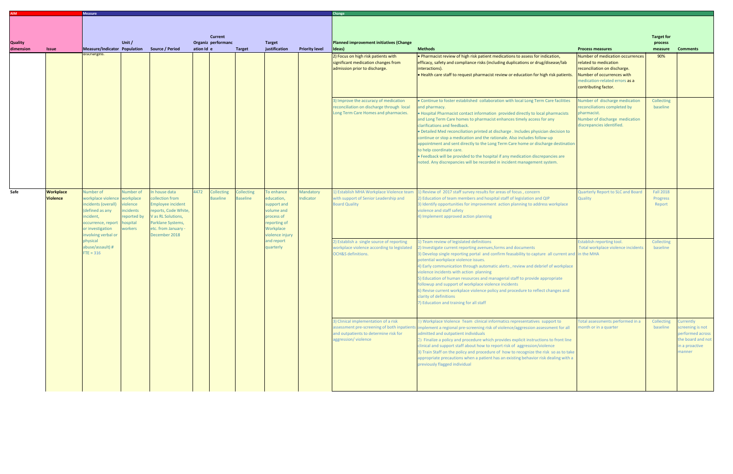|                             |                                     | <b>Measure</b>                                                                                                                                                                              |                                                                                             |                                                                                                                                                                 |      |                                      |                               |                                                                                                                    |                        | Change                                                                                                                                                                                                                                                                                                                                                                                                                                                                                                                                                                                                                                                                                                                                                |                                                                                                                                                                                                                                                                                                                                                                                                                                                                                                                                                                                                                                                                                                                                                      |                                                                                                                                                                                   |                                                                                                    |                 |  |
|-----------------------------|-------------------------------------|---------------------------------------------------------------------------------------------------------------------------------------------------------------------------------------------|---------------------------------------------------------------------------------------------|-----------------------------------------------------------------------------------------------------------------------------------------------------------------|------|--------------------------------------|-------------------------------|--------------------------------------------------------------------------------------------------------------------|------------------------|-------------------------------------------------------------------------------------------------------------------------------------------------------------------------------------------------------------------------------------------------------------------------------------------------------------------------------------------------------------------------------------------------------------------------------------------------------------------------------------------------------------------------------------------------------------------------------------------------------------------------------------------------------------------------------------------------------------------------------------------------------|------------------------------------------------------------------------------------------------------------------------------------------------------------------------------------------------------------------------------------------------------------------------------------------------------------------------------------------------------------------------------------------------------------------------------------------------------------------------------------------------------------------------------------------------------------------------------------------------------------------------------------------------------------------------------------------------------------------------------------------------------|-----------------------------------------------------------------------------------------------------------------------------------------------------------------------------------|----------------------------------------------------------------------------------------------------|-----------------|--|
| <b>Quality</b><br>dimension | <b>Issue</b>                        | <b>Current</b><br>Unit /<br>Organiz performanc<br><b>Target</b><br>Measure/Indicator Population<br>Source / Period<br>ation Id e<br>justification<br><b>Priority level</b><br><b>Target</b> |                                                                                             |                                                                                                                                                                 |      |                                      |                               |                                                                                                                    |                        | Planned improvement initiatives (Change<br>Ideas)                                                                                                                                                                                                                                                                                                                                                                                                                                                                                                                                                                                                                                                                                                     | <b>Methods</b><br><b>Process measures</b>                                                                                                                                                                                                                                                                                                                                                                                                                                                                                                                                                                                                                                                                                                            |                                                                                                                                                                                   |                                                                                                    | <b>Comments</b> |  |
|                             |                                     | uiscriargeu.                                                                                                                                                                                |                                                                                             |                                                                                                                                                                 |      |                                      |                               |                                                                                                                    |                        | 2) Focus on high risk patients with<br>significant medication changes from<br>admission prior to discharge.                                                                                                                                                                                                                                                                                                                                                                                                                                                                                                                                                                                                                                           | . Pharmacist review of high risk patient medications to assess for indication,<br>efficacy, safety and compliance risks (including duplications or drug/disease/lab<br>interactions).<br>. Health care staff to request pharmacist review or education for high risk patients.                                                                                                                                                                                                                                                                                                                                                                                                                                                                       | Number of medication occurrences<br>related to medication<br>reconciliation on discharge.<br>Number of occurrences with<br>medication-related errors as a<br>contributing factor. | 90%                                                                                                |                 |  |
|                             |                                     |                                                                                                                                                                                             |                                                                                             |                                                                                                                                                                 |      |                                      |                               |                                                                                                                    |                        | 3) Improve the accuracy of medication<br>reconciliation on discharge through local<br>Long Term Care Homes and pharmacies.                                                                                                                                                                                                                                                                                                                                                                                                                                                                                                                                                                                                                            | . Continue to foster established collaboration with local Long Term Care facilities<br>and pharmacy.<br>. Hospital Pharmacist contact information provided directly to local pharmacists<br>and Long Term Care homes to pharmacist enhances timely access for any<br>clarifications and feedback.<br>. Detailed Med reconciliation printed at discharge . Includes physician decision to<br>continue or stop a medication and the rationale. Also includes follow-up<br>appointment and sent directly to the Long Term Care home or discharge destination<br>to help coordinate care.<br>. Feedback will be provided to the hospital if any medication discrepancies are<br>noted. Any discrepancies will be recorded in incident management system. | Number of discharge medication<br>reconciliations completed by<br>pharmacist.<br>Number of discharge medication<br>discrepancies identified.                                      | Collecting<br>baseline                                                                             |                 |  |
| Safe                        | <b>Workplace</b><br><b>Violence</b> | Number of<br>workplace violence workplace<br>incidents (overall)<br>(defined as any<br>incident,<br>occurrence, report<br>or investigation<br>involving verbal or                           | <b>Number</b> of<br>iolence<br><b>ncidents</b><br>reported by<br><b>nospital</b><br>workers | n house data<br>collection from<br>Employee incident<br>reports, Code White,<br>V as RL Solutions,<br>Parklane Systems,<br>etc. from January -<br>December 2018 | 4472 | <b>Collecting</b><br><b>Baseline</b> | <b>Collecting</b><br>Baseline | o enhance<br>education,<br>support and<br>volume and<br>process of<br>reporting of<br>Workplace<br>violence injury | Mandatory<br>Indicator | 1) Establish MHA Workplace Violence team<br>with support of Senior Leadership and<br><b>Board Quality</b>                                                                                                                                                                                                                                                                                                                                                                                                                                                                                                                                                                                                                                             | 1) Review of 2017 staff survey results for areas of focus, concern<br>2) Education of team members and hospital staff of legislation and QIP<br>3) Identify opportunities for improvement action planning to address workplace<br>violence and staff safety<br>4) Implement approved action planning                                                                                                                                                                                                                                                                                                                                                                                                                                                 | <b>Quarterly Report to SLC and Board</b><br>Quality                                                                                                                               | <b>Fall 2018</b><br>Progress<br>Report                                                             |                 |  |
|                             |                                     | physical<br>abuse/assault) #<br>$FTE = 316$                                                                                                                                                 |                                                                                             |                                                                                                                                                                 |      |                                      |                               | and report<br>quarterly                                                                                            |                        | 2) Establish a single source of reporting<br>workplace violence according to legislated<br><b>OCH&amp;S</b> definitions.                                                                                                                                                                                                                                                                                                                                                                                                                                                                                                                                                                                                                              | 1) Team review of legislated definitions<br>2) Investigate current reporting avenues, forms and documents<br>3) Develop single reporting portal and confirm feasability to capture all current and in the MHA<br>potential workplace violence issues.<br>4) Early communication through automatic alerts, review and debrief of workplace<br>violence incidents with action planning<br>5) Education of human resources and managerial staff to provide appropriate<br>followup and support of workplace violence incidents<br>6) Revise current workplace violence policy and procedure to reflect changes and<br>clarity of definitions<br>7) Education and training for all staff                                                                 | <b>Establish reporting tool.</b><br>Total workplace violence incidents                                                                                                            | <b>Collecting</b><br>baseline                                                                      |                 |  |
|                             |                                     |                                                                                                                                                                                             |                                                                                             |                                                                                                                                                                 |      |                                      |                               |                                                                                                                    |                        | 3) Clinical implementation of a risk<br>1) Workplace Violence Team clinical informatics representatives support to<br>assessment pre-screening of both inpatients<br>Implement a regional pre-screening risk of violence/aggression assessment for all<br>and outpatients to determine risk for<br>admitted and outpatient individuals<br>aggression/violence<br>2) Finalize a policy and procedure which provides explicit instructions to front line<br>clinical and support staff about how to report risk of aggression/violence<br>3) Train Staff on the policy and procedure of how to recognize the risk so as to take<br>appropriate precautions when a patient has an existing behavior risk dealing with a<br>previously flagged individual | Total assessments performed in a<br>month or in a quarter                                                                                                                                                                                                                                                                                                                                                                                                                                                                                                                                                                                                                                                                                            | Collecting<br>baseline                                                                                                                                                            | Currently<br>screening is not<br>performed across<br>the board and not<br>in a proactive<br>manner |                 |  |